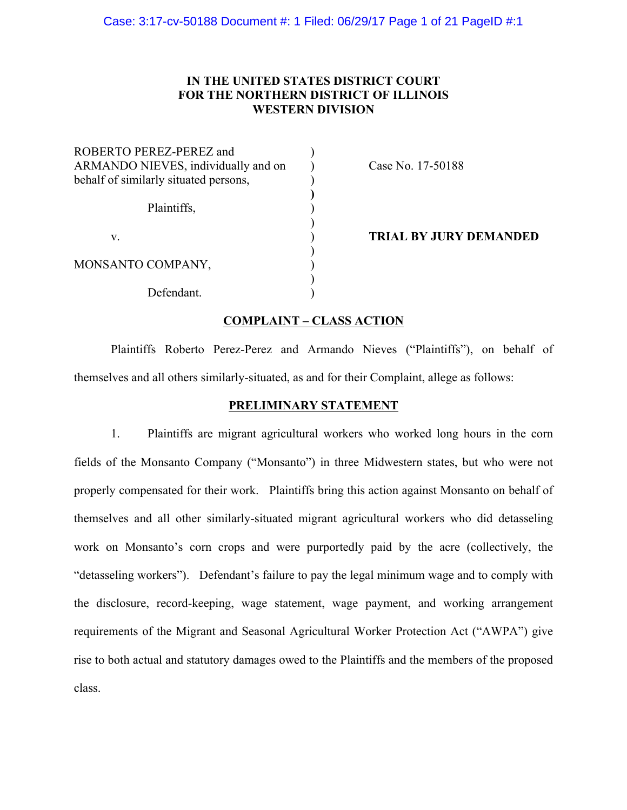# **IN THE UNITED STATES DISTRICT COURT FOR THE NORTHERN DISTRICT OF ILLINOIS WESTERN DIVISION**

| ROBERTO PEREZ-PEREZ and<br>ARMANDO NIEVES, individually and on<br>behalf of similarly situated persons, |  |
|---------------------------------------------------------------------------------------------------------|--|
| Plaintiffs,                                                                                             |  |
| V                                                                                                       |  |
| MONSANTO COMPANY,                                                                                       |  |
| Defendant.                                                                                              |  |

Case No. 17-50188

**TRIAL BY JURY DEMANDED** 

# **COMPLAINT – CLASS ACTION**

Plaintiffs Roberto Perez-Perez and Armando Nieves ("Plaintiffs"), on behalf of themselves and all others similarly-situated, as and for their Complaint, allege as follows:

### **PRELIMINARY STATEMENT**

1. Plaintiffs are migrant agricultural workers who worked long hours in the corn fields of the Monsanto Company ("Monsanto") in three Midwestern states, but who were not properly compensated for their work. Plaintiffs bring this action against Monsanto on behalf of themselves and all other similarly-situated migrant agricultural workers who did detasseling work on Monsanto's corn crops and were purportedly paid by the acre (collectively, the "detasseling workers"). Defendant's failure to pay the legal minimum wage and to comply with the disclosure, record-keeping, wage statement, wage payment, and working arrangement requirements of the Migrant and Seasonal Agricultural Worker Protection Act ("AWPA") give rise to both actual and statutory damages owed to the Plaintiffs and the members of the proposed class.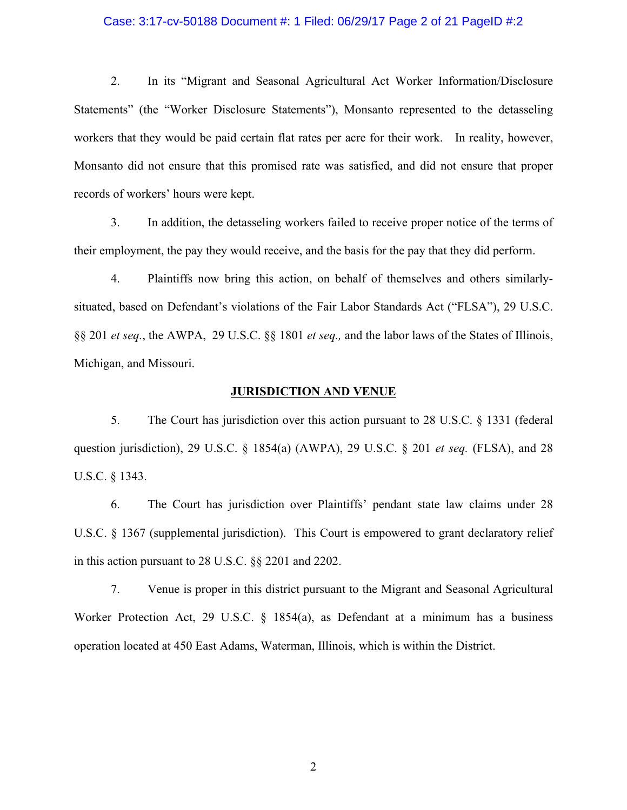#### Case: 3:17-cv-50188 Document #: 1 Filed: 06/29/17 Page 2 of 21 PageID #:2

2. In its "Migrant and Seasonal Agricultural Act Worker Information/Disclosure Statements" (the "Worker Disclosure Statements"), Monsanto represented to the detasseling workers that they would be paid certain flat rates per acre for their work. In reality, however, Monsanto did not ensure that this promised rate was satisfied, and did not ensure that proper records of workers' hours were kept.

3. In addition, the detasseling workers failed to receive proper notice of the terms of their employment, the pay they would receive, and the basis for the pay that they did perform.

4. Plaintiffs now bring this action, on behalf of themselves and others similarlysituated, based on Defendant's violations of the Fair Labor Standards Act ("FLSA"), 29 U.S.C. §§ 201 *et seq.*, the AWPA, 29 U.S.C. §§ 1801 *et seq.,* and the labor laws of the States of Illinois, Michigan, and Missouri.

### **JURISDICTION AND VENUE**

5. The Court has jurisdiction over this action pursuant to 28 U.S.C. § 1331 (federal question jurisdiction), 29 U.S.C. § 1854(a) (AWPA), 29 U.S.C. § 201 *et seq.* (FLSA), and 28 U.S.C. § 1343.

6. The Court has jurisdiction over Plaintiffs' pendant state law claims under 28 U.S.C. § 1367 (supplemental jurisdiction). This Court is empowered to grant declaratory relief in this action pursuant to 28 U.S.C. §§ 2201 and 2202.

7. Venue is proper in this district pursuant to the Migrant and Seasonal Agricultural Worker Protection Act, 29 U.S.C. § 1854(a), as Defendant at a minimum has a business operation located at 450 East Adams, Waterman, Illinois, which is within the District.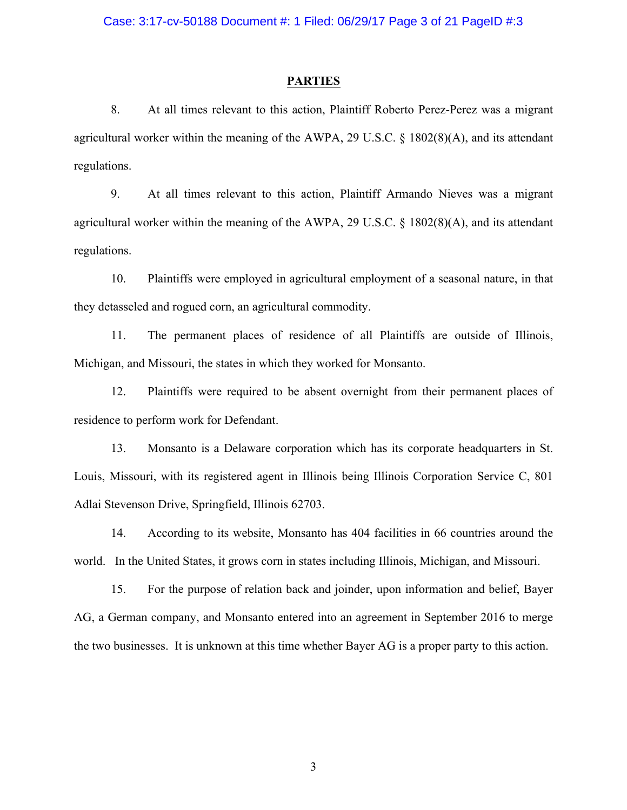#### **PARTIES**

8. At all times relevant to this action, Plaintiff Roberto Perez-Perez was a migrant agricultural worker within the meaning of the AWPA, 29 U.S.C. § 1802(8)(A), and its attendant regulations.

9. At all times relevant to this action, Plaintiff Armando Nieves was a migrant agricultural worker within the meaning of the AWPA, 29 U.S.C. § 1802(8)(A), and its attendant regulations.

10. Plaintiffs were employed in agricultural employment of a seasonal nature, in that they detasseled and rogued corn, an agricultural commodity.

11. The permanent places of residence of all Plaintiffs are outside of Illinois, Michigan, and Missouri, the states in which they worked for Monsanto.

12. Plaintiffs were required to be absent overnight from their permanent places of residence to perform work for Defendant.

13. Monsanto is a Delaware corporation which has its corporate headquarters in St. Louis, Missouri, with its registered agent in Illinois being Illinois Corporation Service C, 801 Adlai Stevenson Drive, Springfield, Illinois 62703.

14. According to its website, Monsanto has 404 facilities in 66 countries around the world. In the United States, it grows corn in states including Illinois, Michigan, and Missouri.

15. For the purpose of relation back and joinder, upon information and belief, Bayer AG, a German company, and Monsanto entered into an agreement in September 2016 to merge the two businesses. It is unknown at this time whether Bayer AG is a proper party to this action.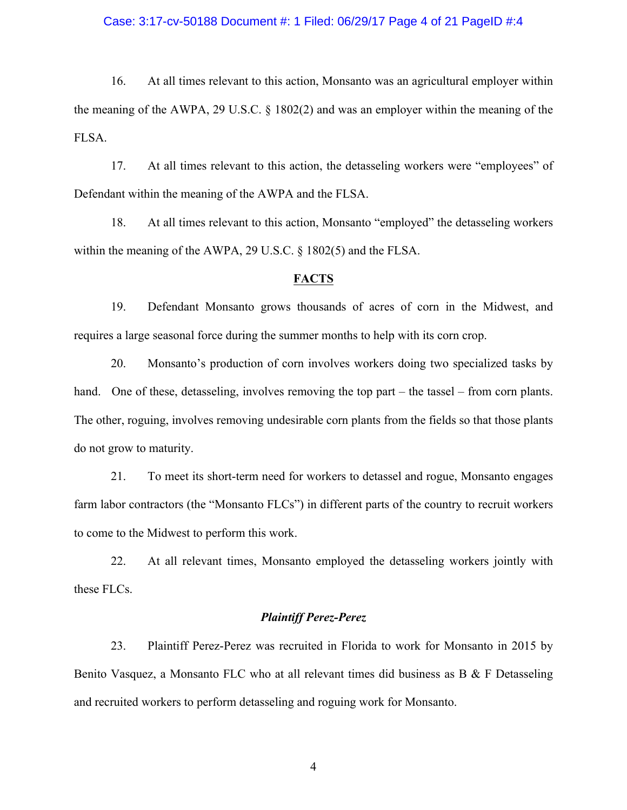#### Case: 3:17-cv-50188 Document #: 1 Filed: 06/29/17 Page 4 of 21 PageID #:4

16. At all times relevant to this action, Monsanto was an agricultural employer within the meaning of the AWPA, 29 U.S.C. § 1802(2) and was an employer within the meaning of the FLSA.

17. At all times relevant to this action, the detasseling workers were "employees" of Defendant within the meaning of the AWPA and the FLSA.

18. At all times relevant to this action, Monsanto "employed" the detasseling workers within the meaning of the AWPA, 29 U.S.C. § 1802(5) and the FLSA.

### **FACTS**

19. Defendant Monsanto grows thousands of acres of corn in the Midwest, and requires a large seasonal force during the summer months to help with its corn crop.

20. Monsanto's production of corn involves workers doing two specialized tasks by hand. One of these, detasseling, involves removing the top part – the tassel – from corn plants. The other, roguing, involves removing undesirable corn plants from the fields so that those plants do not grow to maturity.

21. To meet its short-term need for workers to detassel and rogue, Monsanto engages farm labor contractors (the "Monsanto FLCs") in different parts of the country to recruit workers to come to the Midwest to perform this work.

22. At all relevant times, Monsanto employed the detasseling workers jointly with these FLCs.

### *Plaintiff Perez-Perez*

23. Plaintiff Perez-Perez was recruited in Florida to work for Monsanto in 2015 by Benito Vasquez, a Monsanto FLC who at all relevant times did business as B & F Detasseling and recruited workers to perform detasseling and roguing work for Monsanto.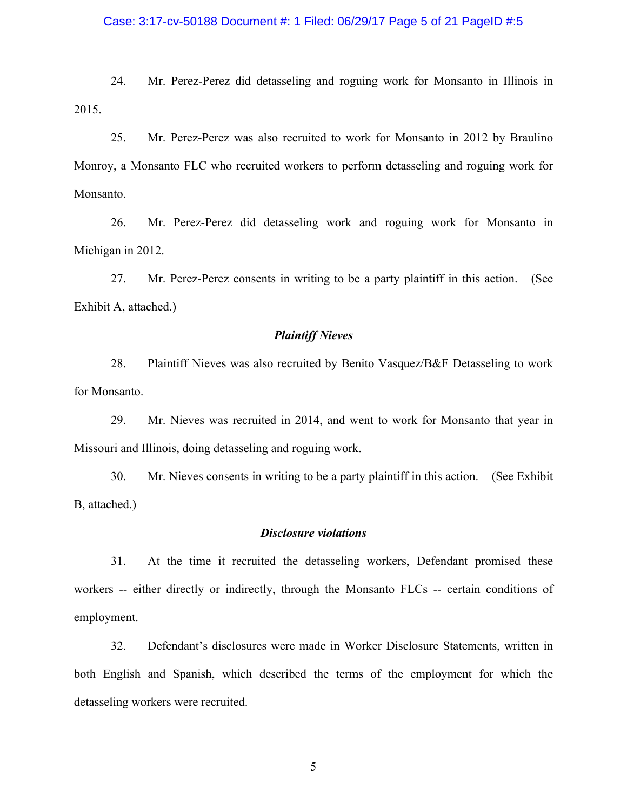#### Case: 3:17-cv-50188 Document #: 1 Filed: 06/29/17 Page 5 of 21 PageID #:5

24. Mr. Perez-Perez did detasseling and roguing work for Monsanto in Illinois in 2015.

25. Mr. Perez-Perez was also recruited to work for Monsanto in 2012 by Braulino Monroy, a Monsanto FLC who recruited workers to perform detasseling and roguing work for Monsanto.

26. Mr. Perez-Perez did detasseling work and roguing work for Monsanto in Michigan in 2012.

27. Mr. Perez-Perez consents in writing to be a party plaintiff in this action. (See Exhibit A, attached.)

### *Plaintiff Nieves*

28. Plaintiff Nieves was also recruited by Benito Vasquez/B&F Detasseling to work for Monsanto.

29. Mr. Nieves was recruited in 2014, and went to work for Monsanto that year in Missouri and Illinois, doing detasseling and roguing work.

30. Mr. Nieves consents in writing to be a party plaintiff in this action. (See Exhibit B, attached.)

### *Disclosure violations*

31. At the time it recruited the detasseling workers, Defendant promised these workers -- either directly or indirectly, through the Monsanto FLCs -- certain conditions of employment.

32. Defendant's disclosures were made in Worker Disclosure Statements, written in both English and Spanish, which described the terms of the employment for which the detasseling workers were recruited.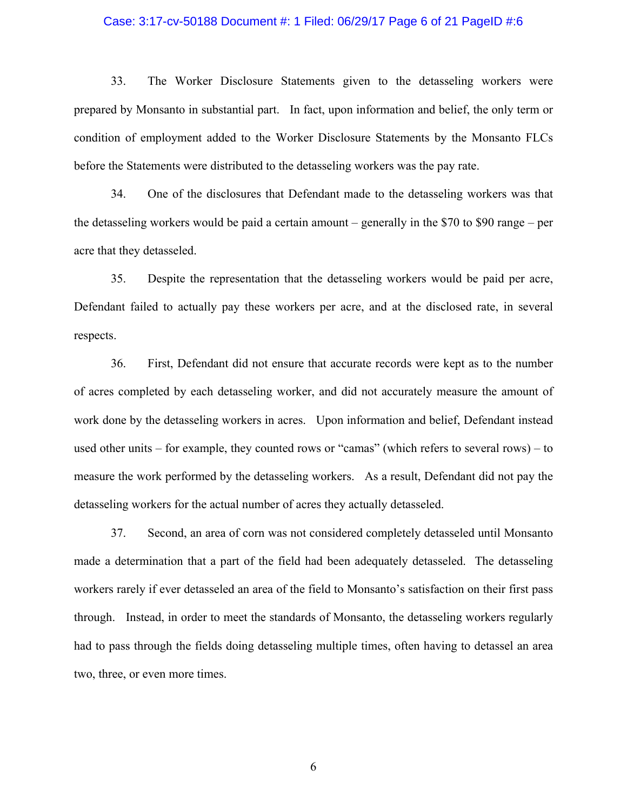#### Case: 3:17-cv-50188 Document #: 1 Filed: 06/29/17 Page 6 of 21 PageID #:6

33. The Worker Disclosure Statements given to the detasseling workers were prepared by Monsanto in substantial part. In fact, upon information and belief, the only term or condition of employment added to the Worker Disclosure Statements by the Monsanto FLCs before the Statements were distributed to the detasseling workers was the pay rate.

34. One of the disclosures that Defendant made to the detasseling workers was that the detasseling workers would be paid a certain amount – generally in the \$70 to \$90 range – per acre that they detasseled.

35. Despite the representation that the detasseling workers would be paid per acre, Defendant failed to actually pay these workers per acre, and at the disclosed rate, in several respects.

36. First, Defendant did not ensure that accurate records were kept as to the number of acres completed by each detasseling worker, and did not accurately measure the amount of work done by the detasseling workers in acres. Upon information and belief, Defendant instead used other units – for example, they counted rows or "camas" (which refers to several rows) – to measure the work performed by the detasseling workers. As a result, Defendant did not pay the detasseling workers for the actual number of acres they actually detasseled.

37. Second, an area of corn was not considered completely detasseled until Monsanto made a determination that a part of the field had been adequately detasseled. The detasseling workers rarely if ever detasseled an area of the field to Monsanto's satisfaction on their first pass through. Instead, in order to meet the standards of Monsanto, the detasseling workers regularly had to pass through the fields doing detasseling multiple times, often having to detassel an area two, three, or even more times.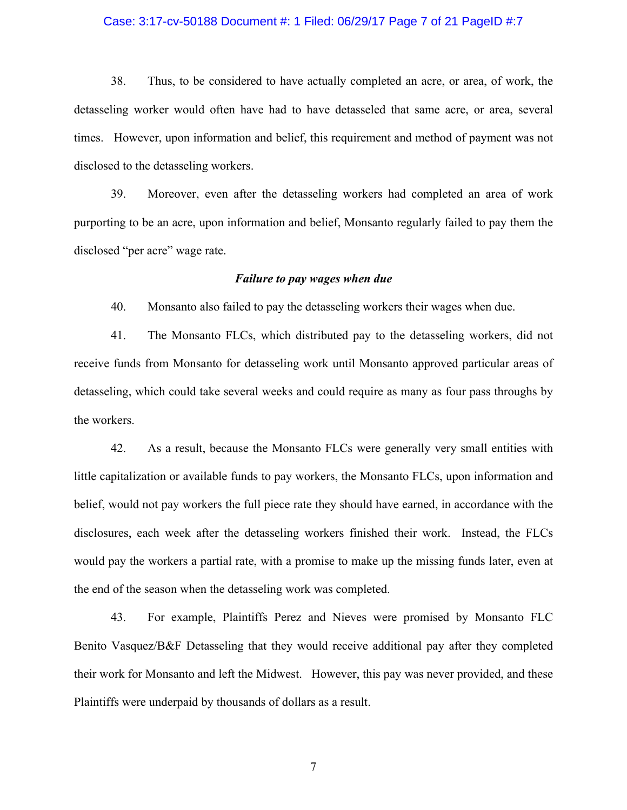#### Case: 3:17-cv-50188 Document #: 1 Filed: 06/29/17 Page 7 of 21 PageID #:7

38. Thus, to be considered to have actually completed an acre, or area, of work, the detasseling worker would often have had to have detasseled that same acre, or area, several times. However, upon information and belief, this requirement and method of payment was not disclosed to the detasseling workers.

39. Moreover, even after the detasseling workers had completed an area of work purporting to be an acre, upon information and belief, Monsanto regularly failed to pay them the disclosed "per acre" wage rate.

#### *Failure to pay wages when due*

40. Monsanto also failed to pay the detasseling workers their wages when due.

41. The Monsanto FLCs, which distributed pay to the detasseling workers, did not receive funds from Monsanto for detasseling work until Monsanto approved particular areas of detasseling, which could take several weeks and could require as many as four pass throughs by the workers.

42. As a result, because the Monsanto FLCs were generally very small entities with little capitalization or available funds to pay workers, the Monsanto FLCs, upon information and belief, would not pay workers the full piece rate they should have earned, in accordance with the disclosures, each week after the detasseling workers finished their work. Instead, the FLCs would pay the workers a partial rate, with a promise to make up the missing funds later, even at the end of the season when the detasseling work was completed.

43. For example, Plaintiffs Perez and Nieves were promised by Monsanto FLC Benito Vasquez/B&F Detasseling that they would receive additional pay after they completed their work for Monsanto and left the Midwest. However, this pay was never provided, and these Plaintiffs were underpaid by thousands of dollars as a result.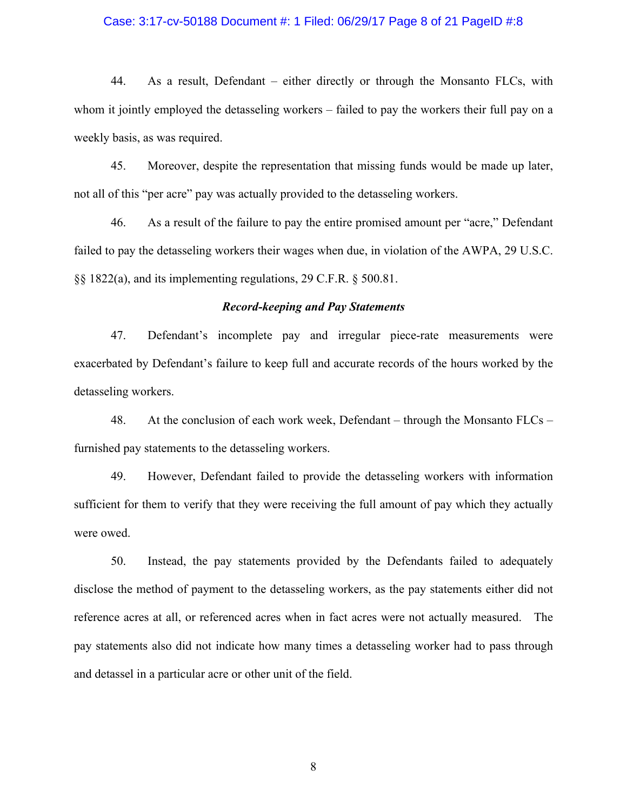#### Case: 3:17-cv-50188 Document #: 1 Filed: 06/29/17 Page 8 of 21 PageID #:8

44. As a result, Defendant – either directly or through the Monsanto FLCs, with whom it jointly employed the detasseling workers – failed to pay the workers their full pay on a weekly basis, as was required.

45. Moreover, despite the representation that missing funds would be made up later, not all of this "per acre" pay was actually provided to the detasseling workers.

46. As a result of the failure to pay the entire promised amount per "acre," Defendant failed to pay the detasseling workers their wages when due, in violation of the AWPA, 29 U.S.C. §§ 1822(a), and its implementing regulations, 29 C.F.R. § 500.81.

### *Record-keeping and Pay Statements*

47. Defendant's incomplete pay and irregular piece-rate measurements were exacerbated by Defendant's failure to keep full and accurate records of the hours worked by the detasseling workers.

48. At the conclusion of each work week, Defendant – through the Monsanto FLCs – furnished pay statements to the detasseling workers.

49. However, Defendant failed to provide the detasseling workers with information sufficient for them to verify that they were receiving the full amount of pay which they actually were owed.

50. Instead, the pay statements provided by the Defendants failed to adequately disclose the method of payment to the detasseling workers, as the pay statements either did not reference acres at all, or referenced acres when in fact acres were not actually measured. The pay statements also did not indicate how many times a detasseling worker had to pass through and detassel in a particular acre or other unit of the field.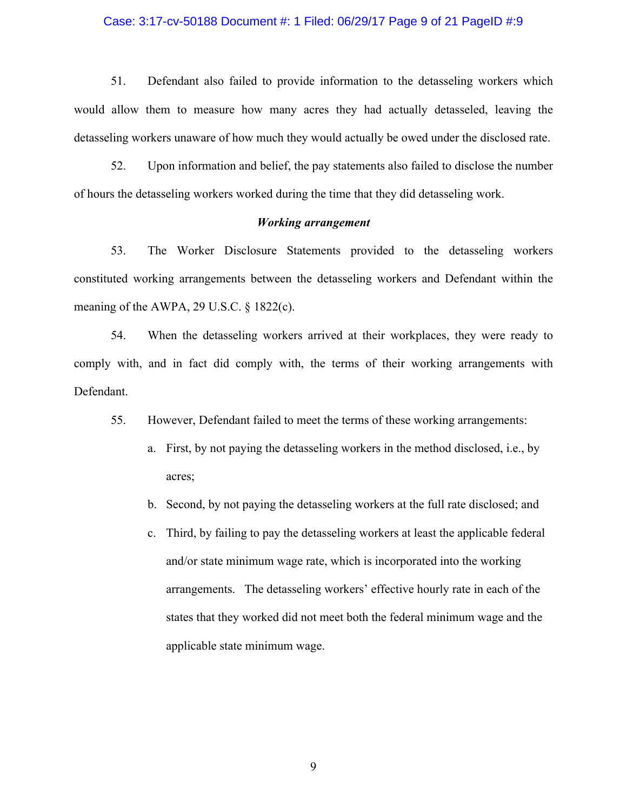#### Case: 3:17-cv-50188 Document #: 1 Filed: 06/29/17 Page 9 of 21 PageID #:9

51. Defendant also failed to provide information to the detasseling workers which would allow them to measure how many acres they had actually detasseled, leaving the detasseling workers unaware of how much they would actually be owed under the disclosed rate.

52. Upon information and belief, the pay statements also failed to disclose the number of hours the detasseling workers worked during the time that they did detasseling work.

### *Working arrangement*

53. The Worker Disclosure Statements provided to the detasseling workers constituted working arrangements between the detasseling workers and Defendant within the meaning of the AWPA, 29 U.S.C. § 1822(c).

54. When the detasseling workers arrived at their workplaces, they were ready to comply with, and in fact did comply with, the terms of their working arrangements with Defendant.

55. However, Defendant failed to meet the terms of these working arrangements:

- a. First, by not paying the detasseling workers in the method disclosed, i.e., by acres;
- b. Second, by not paying the detasseling workers at the full rate disclosed; and
- c. Third, by failing to pay the detasseling workers at least the applicable federal and/or state minimum wage rate, which is incorporated into the working arrangements. The detasseling workers' effective hourly rate in each of the states that they worked did not meet both the federal minimum wage and the applicable state minimum wage.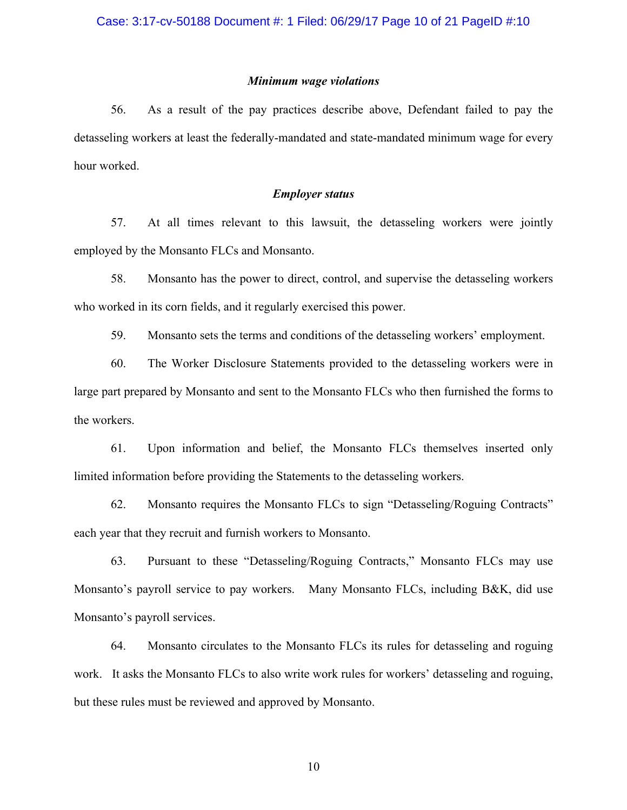### *Minimum wage violations*

56. As a result of the pay practices describe above, Defendant failed to pay the detasseling workers at least the federally-mandated and state-mandated minimum wage for every hour worked.

## *Employer status*

57. At all times relevant to this lawsuit, the detasseling workers were jointly employed by the Monsanto FLCs and Monsanto.

58. Monsanto has the power to direct, control, and supervise the detasseling workers who worked in its corn fields, and it regularly exercised this power.

59. Monsanto sets the terms and conditions of the detasseling workers' employment.

60. The Worker Disclosure Statements provided to the detasseling workers were in large part prepared by Monsanto and sent to the Monsanto FLCs who then furnished the forms to the workers.

61. Upon information and belief, the Monsanto FLCs themselves inserted only limited information before providing the Statements to the detasseling workers.

62. Monsanto requires the Monsanto FLCs to sign "Detasseling/Roguing Contracts" each year that they recruit and furnish workers to Monsanto.

63. Pursuant to these "Detasseling/Roguing Contracts," Monsanto FLCs may use Monsanto's payroll service to pay workers. Many Monsanto FLCs, including B&K, did use Monsanto's payroll services.

64. Monsanto circulates to the Monsanto FLCs its rules for detasseling and roguing work. It asks the Monsanto FLCs to also write work rules for workers' detasseling and roguing, but these rules must be reviewed and approved by Monsanto.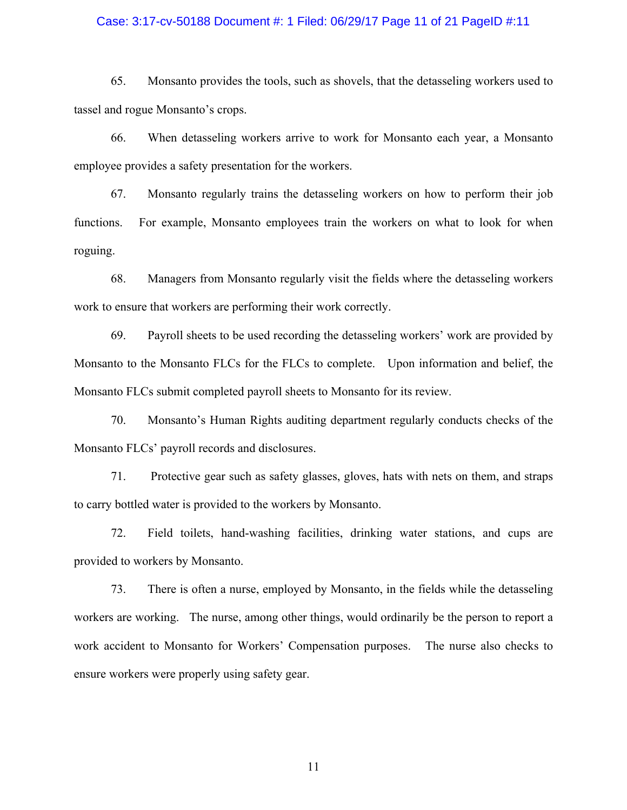#### Case: 3:17-cv-50188 Document #: 1 Filed: 06/29/17 Page 11 of 21 PageID #:11

65. Monsanto provides the tools, such as shovels, that the detasseling workers used to tassel and rogue Monsanto's crops.

66. When detasseling workers arrive to work for Monsanto each year, a Monsanto employee provides a safety presentation for the workers.

67. Monsanto regularly trains the detasseling workers on how to perform their job functions. For example, Monsanto employees train the workers on what to look for when roguing.

68. Managers from Monsanto regularly visit the fields where the detasseling workers work to ensure that workers are performing their work correctly.

69. Payroll sheets to be used recording the detasseling workers' work are provided by Monsanto to the Monsanto FLCs for the FLCs to complete. Upon information and belief, the Monsanto FLCs submit completed payroll sheets to Monsanto for its review.

70. Monsanto's Human Rights auditing department regularly conducts checks of the Monsanto FLCs' payroll records and disclosures.

71. Protective gear such as safety glasses, gloves, hats with nets on them, and straps to carry bottled water is provided to the workers by Monsanto.

72. Field toilets, hand-washing facilities, drinking water stations, and cups are provided to workers by Monsanto.

73. There is often a nurse, employed by Monsanto, in the fields while the detasseling workers are working. The nurse, among other things, would ordinarily be the person to report a work accident to Monsanto for Workers' Compensation purposes. The nurse also checks to ensure workers were properly using safety gear.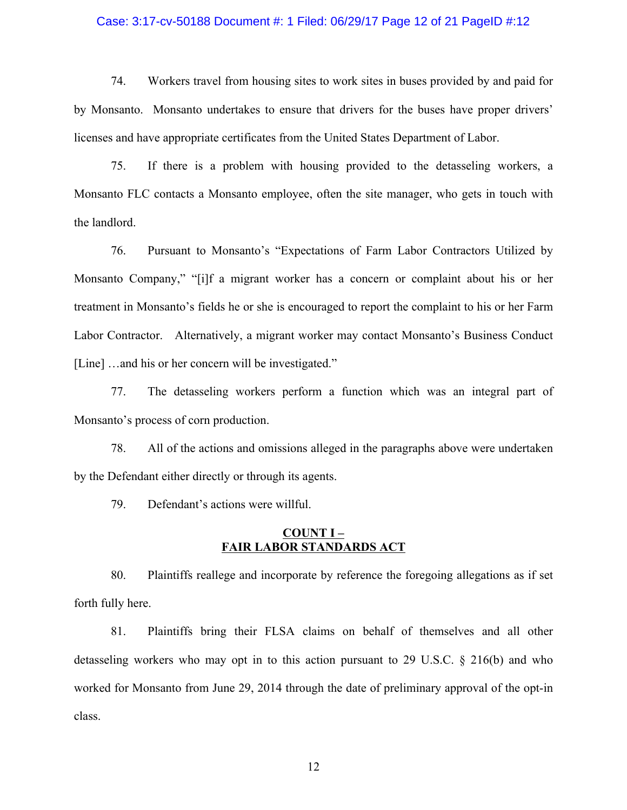#### Case: 3:17-cv-50188 Document #: 1 Filed: 06/29/17 Page 12 of 21 PageID #:12

74. Workers travel from housing sites to work sites in buses provided by and paid for by Monsanto. Monsanto undertakes to ensure that drivers for the buses have proper drivers' licenses and have appropriate certificates from the United States Department of Labor.

75. If there is a problem with housing provided to the detasseling workers, a Monsanto FLC contacts a Monsanto employee, often the site manager, who gets in touch with the landlord.

76. Pursuant to Monsanto's "Expectations of Farm Labor Contractors Utilized by Monsanto Company," "[i]f a migrant worker has a concern or complaint about his or her treatment in Monsanto's fields he or she is encouraged to report the complaint to his or her Farm Labor Contractor. Alternatively, a migrant worker may contact Monsanto's Business Conduct [Line] ... and his or her concern will be investigated."

77. The detasseling workers perform a function which was an integral part of Monsanto's process of corn production.

78. All of the actions and omissions alleged in the paragraphs above were undertaken by the Defendant either directly or through its agents.

79. Defendant's actions were willful.

### **COUNT I – FAIR LABOR STANDARDS ACT**

80. Plaintiffs reallege and incorporate by reference the foregoing allegations as if set forth fully here.

81. Plaintiffs bring their FLSA claims on behalf of themselves and all other detasseling workers who may opt in to this action pursuant to 29 U.S.C. § 216(b) and who worked for Monsanto from June 29, 2014 through the date of preliminary approval of the opt-in class.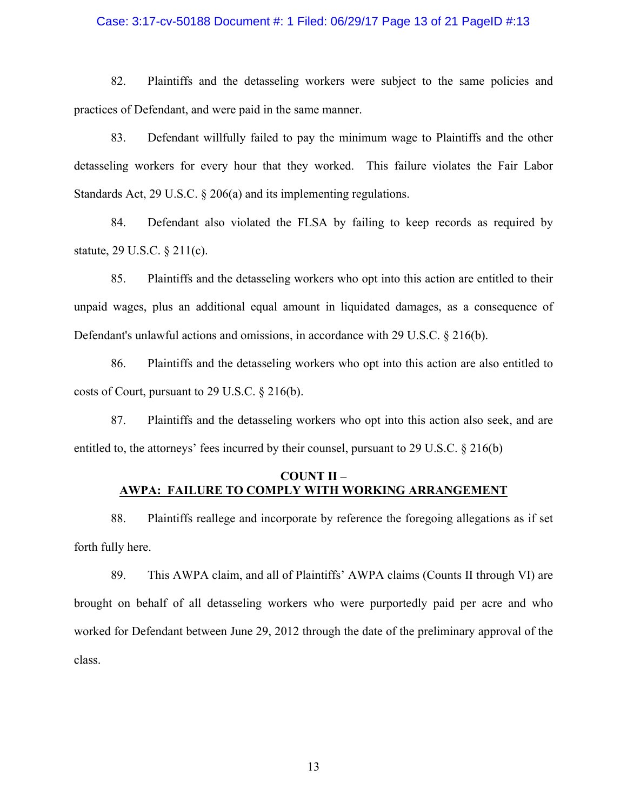#### Case: 3:17-cv-50188 Document #: 1 Filed: 06/29/17 Page 13 of 21 PageID #:13

82. Plaintiffs and the detasseling workers were subject to the same policies and practices of Defendant, and were paid in the same manner.

83. Defendant willfully failed to pay the minimum wage to Plaintiffs and the other detasseling workers for every hour that they worked. This failure violates the Fair Labor Standards Act, 29 U.S.C. § 206(a) and its implementing regulations.

84. Defendant also violated the FLSA by failing to keep records as required by statute, 29 U.S.C. § 211(c).

85. Plaintiffs and the detasseling workers who opt into this action are entitled to their unpaid wages, plus an additional equal amount in liquidated damages, as a consequence of Defendant's unlawful actions and omissions, in accordance with 29 U.S.C. § 216(b).

86. Plaintiffs and the detasseling workers who opt into this action are also entitled to costs of Court, pursuant to 29 U.S.C. § 216(b).

87. Plaintiffs and the detasseling workers who opt into this action also seek, and are entitled to, the attorneys' fees incurred by their counsel, pursuant to 29 U.S.C. § 216(b)

# **COUNT II – AWPA: FAILURE TO COMPLY WITH WORKING ARRANGEMENT**

88. Plaintiffs reallege and incorporate by reference the foregoing allegations as if set forth fully here.

89. This AWPA claim, and all of Plaintiffs' AWPA claims (Counts II through VI) are brought on behalf of all detasseling workers who were purportedly paid per acre and who worked for Defendant between June 29, 2012 through the date of the preliminary approval of the class.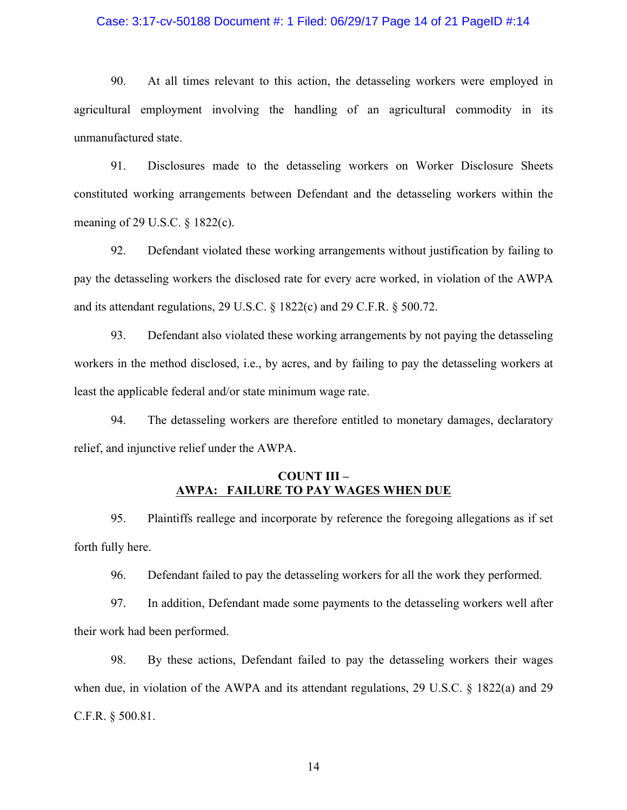#### Case: 3:17-cv-50188 Document #: 1 Filed: 06/29/17 Page 14 of 21 PageID #:14

90. At all times relevant to this action, the detasseling workers were employed in agricultural employment involving the handling of an agricultural commodity in its unmanufactured state.

91. Disclosures made to the detasseling workers on Worker Disclosure Sheets constituted working arrangements between Defendant and the detasseling workers within the meaning of 29 U.S.C. § 1822(c).

92. Defendant violated these working arrangements without justification by failing to pay the detasseling workers the disclosed rate for every acre worked, in violation of the AWPA and its attendant regulations, 29 U.S.C. § 1822(c) and 29 C.F.R. § 500.72.

93. Defendant also violated these working arrangements by not paying the detasseling workers in the method disclosed, i.e., by acres, and by failing to pay the detasseling workers at least the applicable federal and/or state minimum wage rate.

94. The detasseling workers are therefore entitled to monetary damages, declaratory relief, and injunctive relief under the AWPA.

## **COUNT III – AWPA: FAILURE TO PAY WAGES WHEN DUE**

95. Plaintiffs reallege and incorporate by reference the foregoing allegations as if set forth fully here.

96. Defendant failed to pay the detasseling workers for all the work they performed.

97. In addition, Defendant made some payments to the detasseling workers well after their work had been performed.

98. By these actions, Defendant failed to pay the detasseling workers their wages when due, in violation of the AWPA and its attendant regulations, 29 U.S.C. § 1822(a) and 29 C.F.R. § 500.81.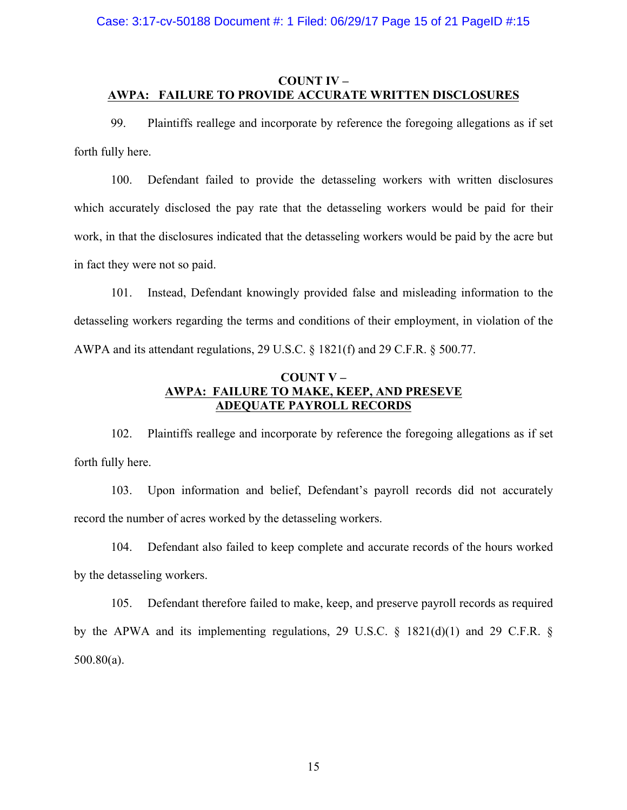# **COUNT IV – AWPA: FAILURE TO PROVIDE ACCURATE WRITTEN DISCLOSURES**

99. Plaintiffs reallege and incorporate by reference the foregoing allegations as if set forth fully here.

100. Defendant failed to provide the detasseling workers with written disclosures which accurately disclosed the pay rate that the detasseling workers would be paid for their work, in that the disclosures indicated that the detasseling workers would be paid by the acre but in fact they were not so paid.

101. Instead, Defendant knowingly provided false and misleading information to the detasseling workers regarding the terms and conditions of their employment, in violation of the AWPA and its attendant regulations, 29 U.S.C. § 1821(f) and 29 C.F.R. § 500.77.

# **COUNT V – AWPA: FAILURE TO MAKE, KEEP, AND PRESEVE ADEQUATE PAYROLL RECORDS**

102. Plaintiffs reallege and incorporate by reference the foregoing allegations as if set forth fully here.

103. Upon information and belief, Defendant's payroll records did not accurately record the number of acres worked by the detasseling workers.

104. Defendant also failed to keep complete and accurate records of the hours worked by the detasseling workers.

105. Defendant therefore failed to make, keep, and preserve payroll records as required by the APWA and its implementing regulations, 29 U.S.C. § 1821(d)(1) and 29 C.F.R. § 500.80(a).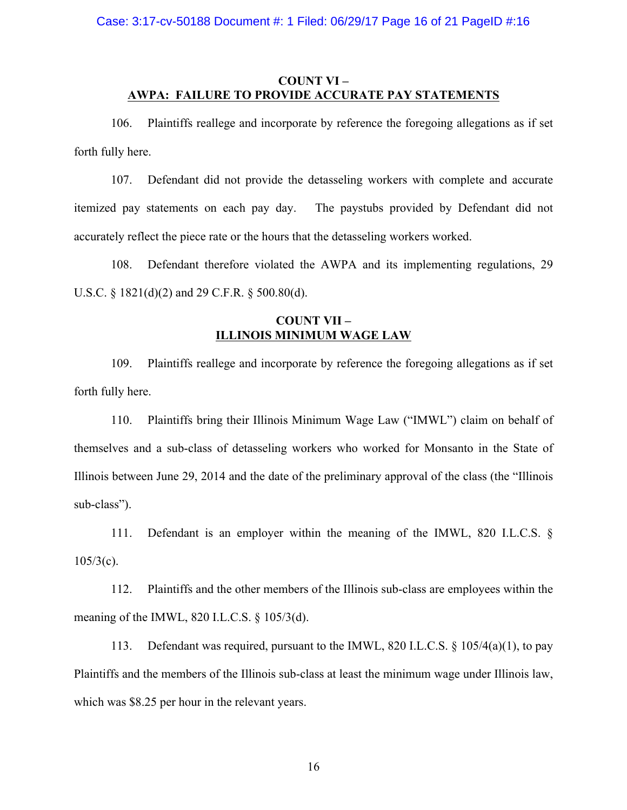Case: 3:17-cv-50188 Document #: 1 Filed: 06/29/17 Page 16 of 21 PageID #:16

## **COUNT VI – AWPA: FAILURE TO PROVIDE ACCURATE PAY STATEMENTS**

106. Plaintiffs reallege and incorporate by reference the foregoing allegations as if set forth fully here.

107. Defendant did not provide the detasseling workers with complete and accurate itemized pay statements on each pay day. The paystubs provided by Defendant did not accurately reflect the piece rate or the hours that the detasseling workers worked.

108. Defendant therefore violated the AWPA and its implementing regulations, 29 U.S.C. § 1821(d)(2) and 29 C.F.R. § 500.80(d).

# **COUNT VII – ILLINOIS MINIMUM WAGE LAW**

109. Plaintiffs reallege and incorporate by reference the foregoing allegations as if set forth fully here.

110. Plaintiffs bring their Illinois Minimum Wage Law ("IMWL") claim on behalf of themselves and a sub-class of detasseling workers who worked for Monsanto in the State of Illinois between June 29, 2014 and the date of the preliminary approval of the class (the "Illinois sub-class").

111. Defendant is an employer within the meaning of the IMWL, 820 I.L.C.S. §  $105/3(c)$ .

112. Plaintiffs and the other members of the Illinois sub-class are employees within the meaning of the IMWL, 820 I.L.C.S. § 105/3(d).

113. Defendant was required, pursuant to the IMWL, 820 I.L.C.S. § 105/4(a)(1), to pay Plaintiffs and the members of the Illinois sub-class at least the minimum wage under Illinois law, which was \$8.25 per hour in the relevant years.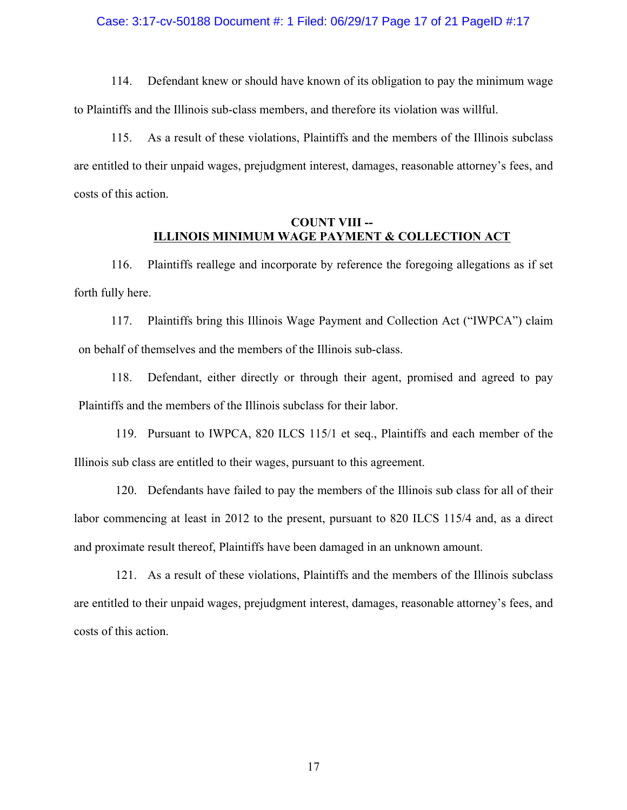#### Case: 3:17-cv-50188 Document #: 1 Filed: 06/29/17 Page 17 of 21 PageID #:17

114. Defendant knew or should have known of its obligation to pay the minimum wage to Plaintiffs and the Illinois sub-class members, and therefore its violation was willful.

115. As a result of these violations, Plaintiffs and the members of the Illinois subclass are entitled to their unpaid wages, prejudgment interest, damages, reasonable attorney's fees, and costs of this action.

## **COUNT VIII -- ILLINOIS MINIMUM WAGE PAYMENT & COLLECTION ACT**

116. Plaintiffs reallege and incorporate by reference the foregoing allegations as if set forth fully here.

117. Plaintiffs bring this Illinois Wage Payment and Collection Act ("IWPCA") claim on behalf of themselves and the members of the Illinois sub-class.

118. Defendant, either directly or through their agent, promised and agreed to pay Plaintiffs and the members of the Illinois subclass for their labor.

119. Pursuant to IWPCA, 820 ILCS 115/1 et seq., Plaintiffs and each member of the Illinois sub class are entitled to their wages, pursuant to this agreement.

120. Defendants have failed to pay the members of the Illinois sub class for all of their labor commencing at least in 2012 to the present, pursuant to 820 ILCS 115/4 and, as a direct and proximate result thereof, Plaintiffs have been damaged in an unknown amount.

121. As a result of these violations, Plaintiffs and the members of the Illinois subclass are entitled to their unpaid wages, prejudgment interest, damages, reasonable attorney's fees, and costs of this action.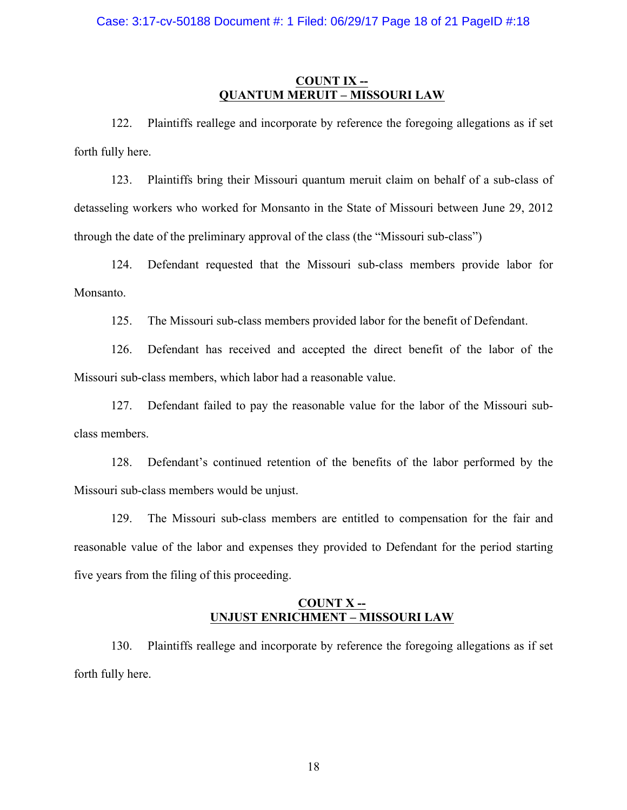## **COUNT IX -- QUANTUM MERUIT – MISSOURI LAW**

122. Plaintiffs reallege and incorporate by reference the foregoing allegations as if set forth fully here.

123. Plaintiffs bring their Missouri quantum meruit claim on behalf of a sub-class of detasseling workers who worked for Monsanto in the State of Missouri between June 29, 2012 through the date of the preliminary approval of the class (the "Missouri sub-class")

124. Defendant requested that the Missouri sub-class members provide labor for Monsanto.

125. The Missouri sub-class members provided labor for the benefit of Defendant.

126. Defendant has received and accepted the direct benefit of the labor of the Missouri sub-class members, which labor had a reasonable value.

127. Defendant failed to pay the reasonable value for the labor of the Missouri subclass members.

128. Defendant's continued retention of the benefits of the labor performed by the Missouri sub-class members would be unjust.

129. The Missouri sub-class members are entitled to compensation for the fair and reasonable value of the labor and expenses they provided to Defendant for the period starting five years from the filing of this proceeding.

## **COUNT X -- UNJUST ENRICHMENT – MISSOURI LAW**

130. Plaintiffs reallege and incorporate by reference the foregoing allegations as if set forth fully here.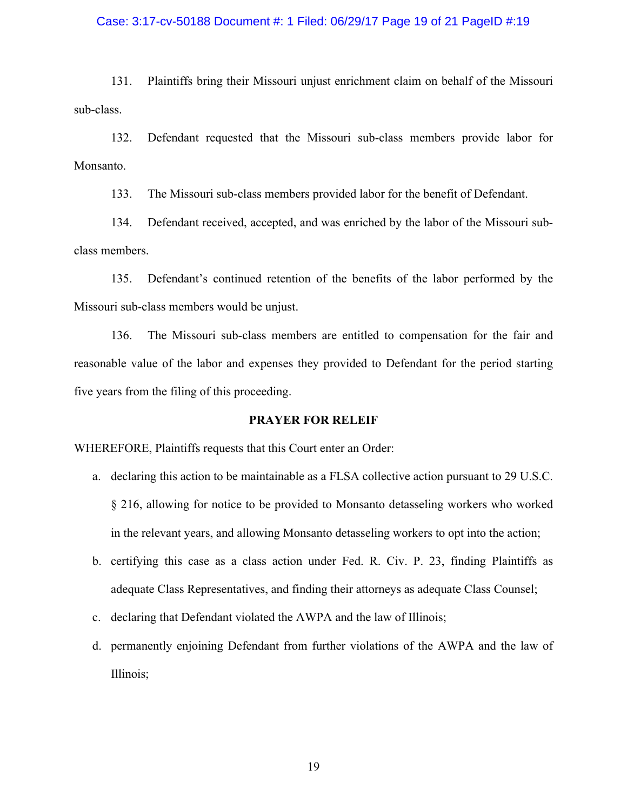#### Case: 3:17-cv-50188 Document #: 1 Filed: 06/29/17 Page 19 of 21 PageID #:19

131. Plaintiffs bring their Missouri unjust enrichment claim on behalf of the Missouri sub-class.

132. Defendant requested that the Missouri sub-class members provide labor for Monsanto.

133. The Missouri sub-class members provided labor for the benefit of Defendant.

134. Defendant received, accepted, and was enriched by the labor of the Missouri subclass members.

135. Defendant's continued retention of the benefits of the labor performed by the Missouri sub-class members would be unjust.

136. The Missouri sub-class members are entitled to compensation for the fair and reasonable value of the labor and expenses they provided to Defendant for the period starting five years from the filing of this proceeding.

### **PRAYER FOR RELEIF**

WHEREFORE, Plaintiffs requests that this Court enter an Order:

- a. declaring this action to be maintainable as a FLSA collective action pursuant to 29 U.S.C. § 216, allowing for notice to be provided to Monsanto detasseling workers who worked in the relevant years, and allowing Monsanto detasseling workers to opt into the action;
- b. certifying this case as a class action under Fed. R. Civ. P. 23, finding Plaintiffs as adequate Class Representatives, and finding their attorneys as adequate Class Counsel;
- c. declaring that Defendant violated the AWPA and the law of Illinois;
- d. permanently enjoining Defendant from further violations of the AWPA and the law of Illinois;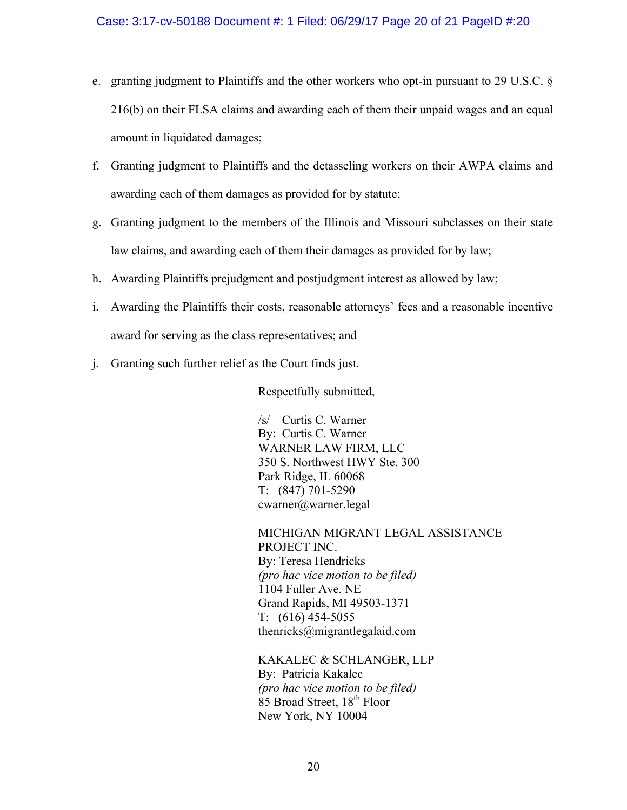- e. granting judgment to Plaintiffs and the other workers who opt-in pursuant to 29 U.S.C. § 216(b) on their FLSA claims and awarding each of them their unpaid wages and an equal amount in liquidated damages;
- f. Granting judgment to Plaintiffs and the detasseling workers on their AWPA claims and awarding each of them damages as provided for by statute;
- g. Granting judgment to the members of the Illinois and Missouri subclasses on their state law claims, and awarding each of them their damages as provided for by law;
- h. Awarding Plaintiffs prejudgment and postjudgment interest as allowed by law;
- i. Awarding the Plaintiffs their costs, reasonable attorneys' fees and a reasonable incentive award for serving as the class representatives; and
- j. Granting such further relief as the Court finds just.

Respectfully submitted,

/s/ Curtis C. Warner By: Curtis C. Warner WARNER LAW FIRM, LLC 350 S. Northwest HWY Ste. 300 Park Ridge, IL 60068 T: (847) 701-5290 cwarner@warner.legal

MICHIGAN MIGRANT LEGAL ASSISTANCE PROJECT INC. By: Teresa Hendricks *(pro hac vice motion to be filed)* 1104 Fuller Ave. NE Grand Rapids, MI 49503-1371 T: (616) 454-5055 thenricks@migrantlegalaid.com

KAKALEC & SCHLANGER, LLP By: Patricia Kakalec *(pro hac vice motion to be filed)* 85 Broad Street, 18<sup>th</sup> Floor New York, NY 10004